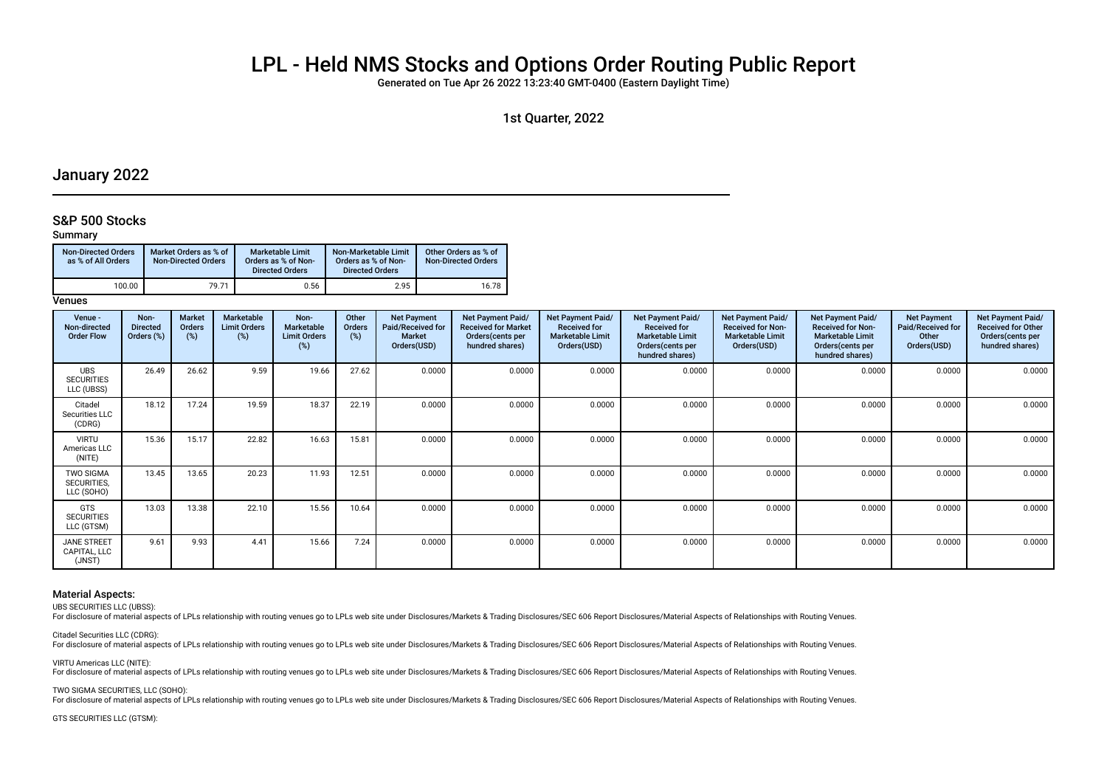# LPL - Held NMS Stocks and Options Order Routing Public Report

Generated on Tue Apr 26 2022 13:23:40 GMT-0400 (Eastern Daylight Time)

1st Quarter, 2022

## January 2022

## S&P 500 Stocks

## Summary

| <b>Non-Directed Orders</b><br>as % of All Orders | Market Orders as % of<br><b>Non-Directed Orders</b> | <b>Marketable Limit</b><br>Orders as % of Non-<br><b>Directed Orders</b> | Non-Marketable Limit<br>Orders as % of Non-<br><b>Directed Orders</b> | Other Orders as % of<br><b>Non-Directed Orders</b> |
|--------------------------------------------------|-----------------------------------------------------|--------------------------------------------------------------------------|-----------------------------------------------------------------------|----------------------------------------------------|
| 100.00                                           | 79.71                                               | 0.56                                                                     | 2.95                                                                  | 16.78                                              |

## **Venues**

| Venue -<br>Non-directed<br><b>Order Flow</b>  | Non-<br><b>Directed</b><br>Orders (%) | <b>Market</b><br><b>Orders</b><br>$(\%)$ | Marketable<br><b>Limit Orders</b><br>(%) | Non-<br><b>Marketable</b><br><b>Limit Orders</b><br>(%) | Other<br>Orders<br>(%) | <b>Net Payment</b><br>Paid/Received for<br><b>Market</b><br>Orders(USD) | Net Payment Paid/<br><b>Received for Market</b><br>Orders(cents per<br>hundred shares) | <b>Net Payment Paid/</b><br><b>Received for</b><br><b>Marketable Limit</b><br>Orders(USD) | <b>Net Payment Paid/</b><br><b>Received for</b><br><b>Marketable Limit</b><br>Orders(cents per<br>hundred shares) | <b>Net Payment Paid/</b><br><b>Received for Non-</b><br><b>Marketable Limit</b><br>Orders(USD) | Net Payment Paid/<br><b>Received for Non-</b><br><b>Marketable Limit</b><br>Orders (cents per<br>hundred shares) | <b>Net Payment</b><br>Paid/Received for<br>Other<br>Orders(USD) | Net Payment Paid/<br><b>Received for Other</b><br>Orders (cents per<br>hundred shares) |
|-----------------------------------------------|---------------------------------------|------------------------------------------|------------------------------------------|---------------------------------------------------------|------------------------|-------------------------------------------------------------------------|----------------------------------------------------------------------------------------|-------------------------------------------------------------------------------------------|-------------------------------------------------------------------------------------------------------------------|------------------------------------------------------------------------------------------------|------------------------------------------------------------------------------------------------------------------|-----------------------------------------------------------------|----------------------------------------------------------------------------------------|
| <b>UBS</b><br><b>SECURITIES</b><br>LLC (UBSS) | 26.49                                 | 26.62                                    | 9.59                                     | 19.66                                                   | 27.62                  | 0.0000                                                                  | 0.0000                                                                                 | 0.0000                                                                                    | 0.0000                                                                                                            | 0.0000                                                                                         | 0.0000                                                                                                           | 0.0000                                                          | 0.0000                                                                                 |
| Citadel<br>Securities LLC<br>(CDRG)           | 18.12                                 | 17.24                                    | 19.59                                    | 18.37                                                   | 22.19                  | 0.0000                                                                  | 0.0000                                                                                 | 0.0000                                                                                    | 0.0000                                                                                                            | 0.0000                                                                                         | 0.0000                                                                                                           | 0.0000                                                          | 0.0000                                                                                 |
| <b>VIRTU</b><br>Americas LLC<br>(NITE)        | 15.36                                 | 15.17                                    | 22.82                                    | 16.63                                                   | 15.81                  | 0.0000                                                                  | 0.0000                                                                                 | 0.0000                                                                                    | 0.0000                                                                                                            | 0.0000                                                                                         | 0.0000                                                                                                           | 0.0000                                                          | 0.0000                                                                                 |
| <b>TWO SIGMA</b><br>SECURITIES,<br>LLC (SOHO) | 13.45                                 | 13.65                                    | 20.23                                    | 11.93                                                   | 12.51                  | 0.0000                                                                  | 0.0000                                                                                 | 0.0000                                                                                    | 0.0000                                                                                                            | 0.0000                                                                                         | 0.0000                                                                                                           | 0.0000                                                          | 0.0000                                                                                 |
| GTS<br><b>SECURITIES</b><br>LLC (GTSM)        | 13.03                                 | 13.38                                    | 22.10                                    | 15.56                                                   | 10.64                  | 0.0000                                                                  | 0.0000                                                                                 | 0.0000                                                                                    | 0.0000                                                                                                            | 0.0000                                                                                         | 0.0000                                                                                                           | 0.0000                                                          | 0.0000                                                                                 |
| <b>JANE STREET</b><br>CAPITAL, LLC<br>(JNST)  | 9.61                                  | 9.93                                     | 4.41                                     | 15.66                                                   | 7.24                   | 0.0000                                                                  | 0.0000                                                                                 | 0.0000                                                                                    | 0.0000                                                                                                            | 0.0000                                                                                         | 0.0000                                                                                                           | 0.0000                                                          | 0.0000                                                                                 |

#### Material Aspects:

UBS SECURITIES LLC (UBSS):

For disclosure of material aspects of LPLs relationship with routing venues go to LPLs web site under Disclosures/Markets & Trading Disclosures/SEC 606 Report Disclosures/Material Aspects of Relationships with Routing Venu

Citadel Securities LLC (CDRG):

For disclosure of material aspects of LPLs relationship with routing venues go to LPLs web site under Disclosures/Markets & Trading Disclosures/SEC 606 Report Disclosures/Material Aspects of Relationships with Routing Venu

VIRTU Americas LLC (NITE):

For disclosure of material aspects of LPLs relationship with routing venues go to LPLs web site under Disclosures/Markets & Trading Disclosures/SEC 606 Report Disclosures/Material Aspects of Relationships with Routing Venu

TWO SIGMA SECURITIES, LLC (SOHO):

For disclosure of material aspects of LPLs relationship with routing venues go to LPLs web site under Disclosures/Markets & Trading Disclosures/SEC 606 Report Disclosures/Material Aspects of Relationships with Routing Venu

GTS SECURITIES LLC (GTSM):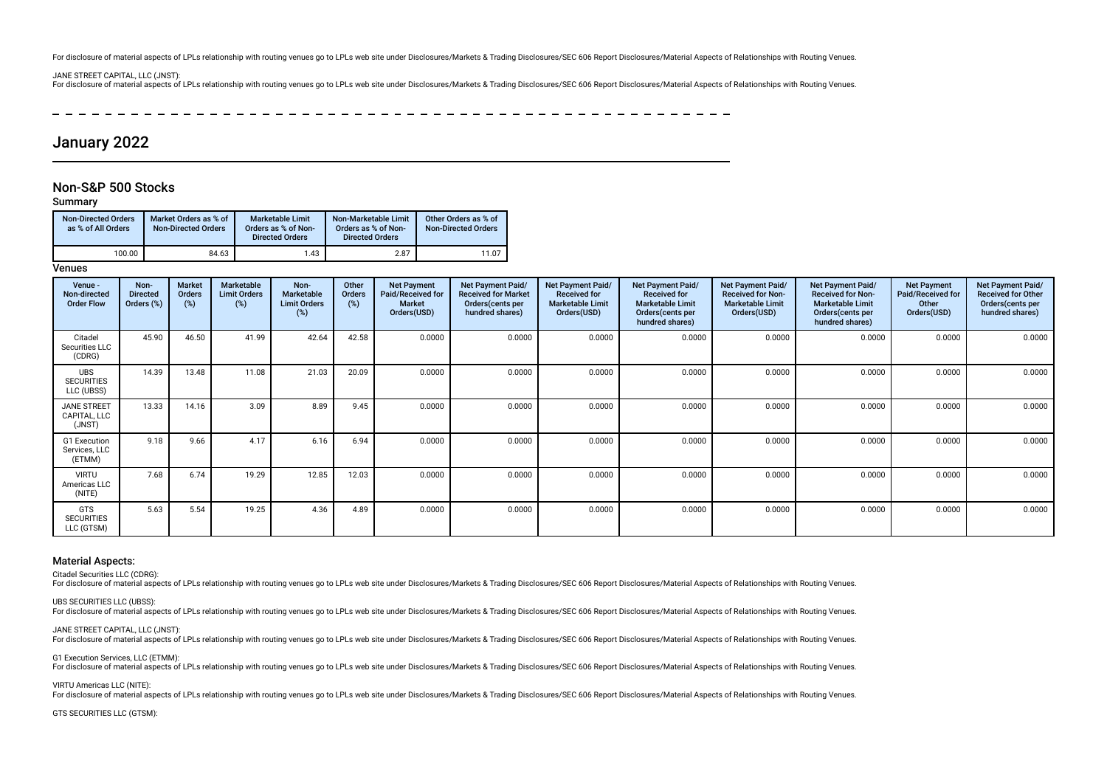For disclosure of material aspects of LPLs relationship with routing venues go to LPLs web site under Disclosures/Markets & Trading Disclosures/SEC 606 Report Disclosures/Material Aspects of Relationships with Routing Venu

#### JANE STREET CAPITAL, LLC (JNST):

For disclosure of material aspects of LPLs relationship with routing venues go to LPLs web site under Disclosures/Markets & Trading Disclosures/SEC 606 Report Disclosures/Material Aspects of Relationships with Routing Venu

----------------

# January 2022

## Non-S&P 500 Stocks

### Summary

| <b>Non-Directed Orders</b><br>as % of All Orders | Market Orders as % of<br><b>Non-Directed Orders</b> | <b>Marketable Limit</b><br>Orders as % of Non-<br><b>Directed Orders</b> | Non-Marketable Limit<br>Orders as % of Non-<br><b>Directed Orders</b> | Other Orders as % of<br><b>Non-Directed Orders</b> |
|--------------------------------------------------|-----------------------------------------------------|--------------------------------------------------------------------------|-----------------------------------------------------------------------|----------------------------------------------------|
| 100.00                                           | 84.63                                               | 1.43                                                                     | 2.87                                                                  | 11.07                                              |

## **Venues**

| Venue -<br>Non-directed<br><b>Order Flow</b>  | Non-<br><b>Directed</b><br>Orders (%) | <b>Market</b><br>Orders<br>(%) | Marketable<br><b>Limit Orders</b><br>$(\%)$ | Non-<br><b>Marketable</b><br><b>Limit Orders</b><br>$(\%)$ | Other<br>Orders<br>(%) | <b>Net Payment</b><br>Paid/Received for<br><b>Market</b><br>Orders(USD) | Net Payment Paid/<br><b>Received for Market</b><br>Orders(cents per<br>hundred shares) | Net Payment Paid/<br><b>Received for</b><br><b>Marketable Limit</b><br>Orders(USD) | Net Payment Paid/<br><b>Received for</b><br><b>Marketable Limit</b><br>Orders (cents per<br>hundred shares) | Net Payment Paid/<br><b>Received for Non-</b><br><b>Marketable Limit</b><br>Orders(USD) | Net Payment Paid/<br><b>Received for Non-</b><br><b>Marketable Limit</b><br>Orders(cents per<br>hundred shares) | <b>Net Payment</b><br>Paid/Received for<br>Other<br>Orders(USD) | Net Payment Paid/<br><b>Received for Other</b><br>Orders (cents per<br>hundred shares) |
|-----------------------------------------------|---------------------------------------|--------------------------------|---------------------------------------------|------------------------------------------------------------|------------------------|-------------------------------------------------------------------------|----------------------------------------------------------------------------------------|------------------------------------------------------------------------------------|-------------------------------------------------------------------------------------------------------------|-----------------------------------------------------------------------------------------|-----------------------------------------------------------------------------------------------------------------|-----------------------------------------------------------------|----------------------------------------------------------------------------------------|
| Citadel<br>Securities LLC<br>(CDRG)           | 45.90                                 | 46.50                          | 41.99                                       | 42.64                                                      | 42.58                  | 0.0000                                                                  | 0.0000                                                                                 | 0.0000                                                                             | 0.0000                                                                                                      | 0.0000                                                                                  | 0.0000                                                                                                          | 0.0000                                                          | 0.0000                                                                                 |
| <b>UBS</b><br><b>SECURITIES</b><br>LLC (UBSS) | 14.39                                 | 13.48                          | 11.08                                       | 21.03                                                      | 20.09                  | 0.0000                                                                  | 0.0000                                                                                 | 0.0000                                                                             | 0.0000                                                                                                      | 0.0000                                                                                  | 0.0000                                                                                                          | 0.0000                                                          | 0.0000                                                                                 |
| <b>JANE STREET</b><br>CAPITAL, LLC<br>(JNST)  | 13.33                                 | 14.16                          | 3.09                                        | 8.89                                                       | 9.45                   | 0.0000                                                                  | 0.0000                                                                                 | 0.0000                                                                             | 0.0000                                                                                                      | 0.0000                                                                                  | 0.0000                                                                                                          | 0.0000                                                          | 0.0000                                                                                 |
| G1 Execution<br>Services, LLC<br>(ETMM)       | 9.18                                  | 9.66                           | 4.17                                        | 6.16                                                       | 6.94                   | 0.0000                                                                  | 0.0000                                                                                 | 0.0000                                                                             | 0.0000                                                                                                      | 0.0000                                                                                  | 0.0000                                                                                                          | 0.0000                                                          | 0.0000                                                                                 |
| <b>VIRTU</b><br>Americas LLC<br>(NITE)        | 7.68                                  | 6.74                           | 19.29                                       | 12.85                                                      | 12.03                  | 0.0000                                                                  | 0.0000                                                                                 | 0.0000                                                                             | 0.0000                                                                                                      | 0.0000                                                                                  | 0.0000                                                                                                          | 0.0000                                                          | 0.0000                                                                                 |
| <b>GTS</b><br><b>SECURITIES</b><br>LLC (GTSM) | 5.63                                  | 5.54                           | 19.25                                       | 4.36                                                       | 4.89                   | 0.0000                                                                  | 0.0000                                                                                 | 0.0000                                                                             | 0.0000                                                                                                      | 0.0000                                                                                  | 0.0000                                                                                                          | 0.0000                                                          | 0.0000                                                                                 |

#### Material Aspects:

Citadel Securities LLC (CDRG):

For disclosure of material aspects of LPLs relationship with routing venues go to LPLs web site under Disclosures/Markets & Trading Disclosures/SEC 606 Report Disclosures/Material Aspects of Relationships with Routing Venu

UBS SECURITIES LLC (UBSS):

For disclosure of material aspects of LPLs relationship with routing venues go to LPLs web site under Disclosures/Markets & Trading Disclosures/SEC 606 Report Disclosures/Material Aspects of Relationships with Routing Venu

JANE STREET CAPITAL, LLC (JNST):

For disclosure of material aspects of LPLs relationship with routing venues go to LPLs web site under Disclosures/Markets & Trading Disclosures/SEC 606 Report Disclosures/Material Aspects of Relationships with Routing Venu

G1 Execution Services, LLC (ETMM): For disclosure of material aspects of LPLs relationship with routing venues go to LPLs web site under Disclosures/Markets & Trading Disclosures/SEC 606 Report Disclosures/Material Aspects of Relationships with Routing Venu

VIRTU Americas LLC (NITE):

For disclosure of material aspects of LPLs relationship with routing venues go to LPLs web site under Disclosures/Markets & Trading Disclosures/SEC 606 Report Disclosures/Material Aspects of Relationships with Routing Venu

GTS SECURITIES LLC (GTSM):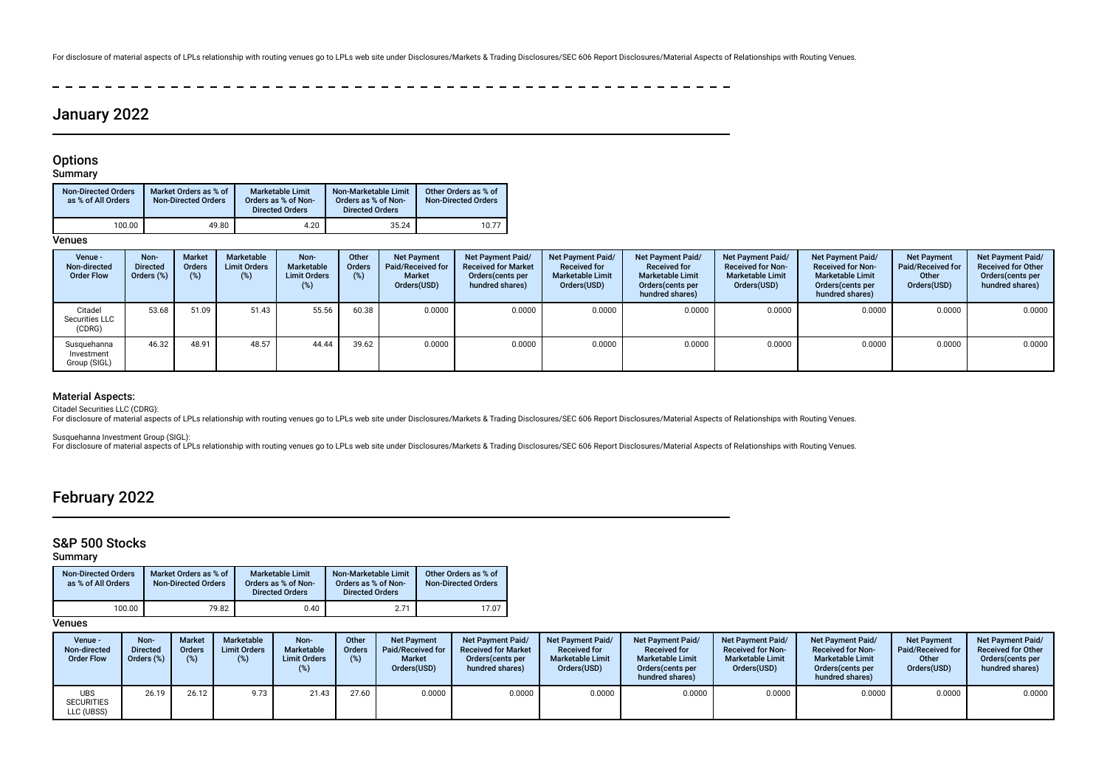For disclosure of material aspects of LPLs relationship with routing venues go to LPLs web site under Disclosures/Markets & Trading Disclosures/SEC 606 Report Disclosures/Material Aspects of Relationships with Routing Venu

 $\sim$  $\sim$  $\sim$  $\sim$ -------------

# January 2022

## **Options**

## Summary

| <b>Non-Directed Orders</b><br>as % of All Orders | Market Orders as % of<br><b>Non-Directed Orders</b> | <b>Marketable Limit</b><br>Orders as % of Non-<br><b>Directed Orders</b> | Non-Marketable Limit<br>Orders as % of Non-<br><b>Directed Orders</b> | Other Orders as % of<br><b>Non-Directed Orders</b> |
|--------------------------------------------------|-----------------------------------------------------|--------------------------------------------------------------------------|-----------------------------------------------------------------------|----------------------------------------------------|
| 100.00                                           | 49.80                                               | 4.20                                                                     | 35.24                                                                 | 10.77                                              |

**Venues** 

| Venue -<br>Non-directed<br><b>Order Flow</b> | Non-<br><b>Directed</b><br>Orders (%) | <b>Market</b><br>Orders<br>(%) | Marketable<br><b>Limit Orders</b><br>(%) | Non-<br>Marketable<br><b>Limit Orders</b><br>(%) | Other<br><b>Orders</b><br>$(\%)$ | <b>Net Payment</b><br><b>Paid/Received for</b><br>Market<br>Orders(USD) | Net Payment Paid/<br><b>Received for Market</b><br>Orders (cents per<br>hundred shares) | <b>Net Payment Paid/</b><br><b>Received for</b><br><b>Marketable Limit</b><br>Orders(USD) | <b>Net Payment Paid/</b><br><b>Received for</b><br><b>Marketable Limit</b><br>Orders(cents per<br>hundred shares) | Net Payment Paid/<br><b>Received for Non-</b><br><b>Marketable Limit</b><br>Orders(USD) | Net Payment Paid/<br><b>Received for Non-</b><br><b>Marketable Limit</b><br>Orders(cents per<br>hundred shares) | <b>Net Payment</b><br>Paid/Received for<br>Other<br>Orders(USD) | Net Payment Paid/<br><b>Received for Other</b><br>Orders (cents per<br>hundred shares) |
|----------------------------------------------|---------------------------------------|--------------------------------|------------------------------------------|--------------------------------------------------|----------------------------------|-------------------------------------------------------------------------|-----------------------------------------------------------------------------------------|-------------------------------------------------------------------------------------------|-------------------------------------------------------------------------------------------------------------------|-----------------------------------------------------------------------------------------|-----------------------------------------------------------------------------------------------------------------|-----------------------------------------------------------------|----------------------------------------------------------------------------------------|
| Citadel<br>Securities LLC<br>(CDRG)          | 53.68                                 | 51.09                          | 51.43                                    | 55.56                                            | 60.38                            | 0.0000                                                                  | 0.0000                                                                                  | 0.0000                                                                                    | 0.0000                                                                                                            | 0.0000                                                                                  | 0.0000                                                                                                          | 0.0000                                                          | 0.0000                                                                                 |
| Susquehanna<br>Investment<br>Group (SIGL)    | 46.32                                 | 48.91                          | 48.57                                    | 44.44                                            | 39.62                            | 0.0000                                                                  | 0.0000                                                                                  | 0.0000                                                                                    | 0.0000                                                                                                            | 0.0000                                                                                  | 0.0000                                                                                                          | 0.0000                                                          | 0.0000                                                                                 |

## Material Aspects:

Citadel Securities LLC (CDRG):

For disclosure of material aspects of LPLs relationship with routing venues go to LPLs web site under Disclosures/Markets & Trading Disclosures/SEC 606 Report Disclosures/Material Aspects of Relationships with Routing Venu

Susquehanna Investment Group (SIGL):

For disclosure of material aspects of LPLs relationship with routing venues go to LPLs web site under Disclosures/Markets & Trading Disclosures/SEC 606 Report Disclosures/Material Aspects of Relationships with Routing Venu

# February 2022

## S&P 500 Stocks

Summary

| <b>Non-Directed Orders</b><br>as % of All Orders | Market Orders as % of<br><b>Non-Directed Orders</b> | <b>Marketable Limit</b><br>Orders as % of Non-<br><b>Directed Orders</b> | Non-Marketable Limit<br>Orders as % of Non-<br><b>Directed Orders</b> | Other Orders as % of<br><b>Non-Directed Orders</b> |
|--------------------------------------------------|-----------------------------------------------------|--------------------------------------------------------------------------|-----------------------------------------------------------------------|----------------------------------------------------|
| 100.00                                           | 79.82                                               | 0.40                                                                     | 2.71                                                                  | 17.07                                              |

| Venue -<br>Non-directed<br><b>Order Flow</b> | Non-<br>Directed<br>Orders (% | <b>Market</b><br><b>Orders</b><br>(% ) | Marketable<br><b>Limit Orders</b><br>(%) | Non-<br><b>Marketable</b><br><b>Limit Orders</b> | Other<br><b>Orders</b><br>(%) | <b>Net Payment</b><br>Paid/Received for<br><b>Market</b><br>Orders(USD) | <b>Net Payment Paid/</b><br><b>Received for Market</b><br>Orders (cents per<br>hundred shares) | <b>Net Payment Paid/</b><br><b>Received for</b><br><b>Marketable Limit</b><br>Orders(USD) | <b>Net Payment Paid/</b><br><b>Received for</b><br><b>Marketable Limit</b><br>Orders (cents per<br>hundred shares) | <b>Net Payment Paid/</b><br><b>Received for Non-</b><br><b>Marketable Limit</b><br>Orders(USD) | Net Payment Paid/<br><b>Received for Non-</b><br><b>Marketable Limit</b><br>Orders cents per<br>hundred shares) | <b>Net Payment</b><br>Paid/Received for<br>Other<br>Orders(USD) | <b>Net Payment Paid/</b><br><b>Received for Other</b><br>Orders (cents per<br>hundred shares) |
|----------------------------------------------|-------------------------------|----------------------------------------|------------------------------------------|--------------------------------------------------|-------------------------------|-------------------------------------------------------------------------|------------------------------------------------------------------------------------------------|-------------------------------------------------------------------------------------------|--------------------------------------------------------------------------------------------------------------------|------------------------------------------------------------------------------------------------|-----------------------------------------------------------------------------------------------------------------|-----------------------------------------------------------------|-----------------------------------------------------------------------------------------------|
| UBS<br><b>SECURITIES</b><br>LLC (UBSS)       | 26.19                         | 26.12                                  | 9.73                                     | 21.43                                            | 27.60                         | 0.0000                                                                  | 0.0000                                                                                         | 0.0000                                                                                    | 0.0000                                                                                                             | 0.0000                                                                                         | 0.0000                                                                                                          | 0.0000                                                          | 0.0000                                                                                        |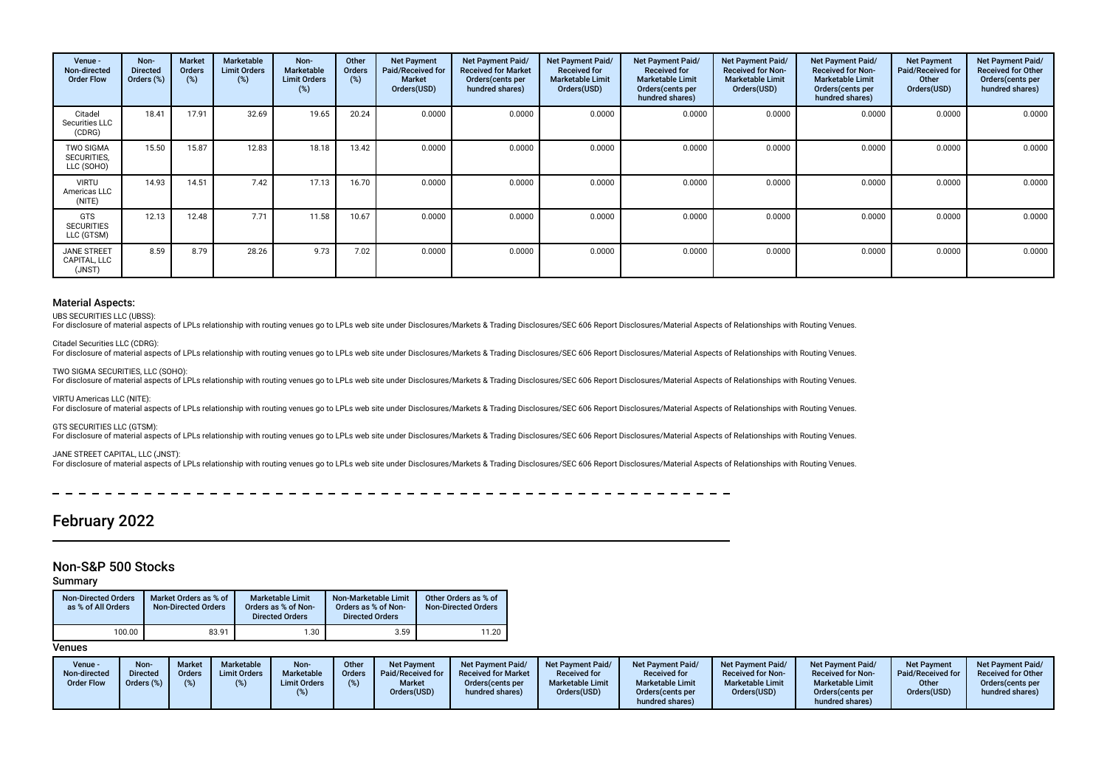| Venue -<br>Non-directed<br><b>Order Flow</b>  | Non-<br><b>Directed</b><br>Orders (%) | <b>Market</b><br>Orders<br>(%) | Marketable<br><b>Limit Orders</b><br>$(\%)$ | Non-<br><b>Marketable</b><br><b>Limit Orders</b><br>(%) | Other<br><b>Orders</b><br>(%) | <b>Net Payment</b><br>Paid/Received for<br><b>Market</b><br>Orders(USD) | <b>Net Payment Paid/</b><br><b>Received for Market</b><br>Orders (cents per<br>hundred shares) | Net Payment Paid/<br><b>Received for</b><br><b>Marketable Limit</b><br>Orders(USD) | Net Payment Paid/<br><b>Received for</b><br><b>Marketable Limit</b><br>Orders (cents per<br>hundred shares) | Net Payment Paid/<br><b>Received for Non-</b><br><b>Marketable Limit</b><br>Orders(USD) | Net Payment Paid/<br><b>Received for Non-</b><br><b>Marketable Limit</b><br>Orders (cents per<br>hundred shares) | <b>Net Payment</b><br>Paid/Received for<br>Other<br>Orders(USD) | Net Payment Paid/<br><b>Received for Other</b><br>Orders (cents per<br>hundred shares) |
|-----------------------------------------------|---------------------------------------|--------------------------------|---------------------------------------------|---------------------------------------------------------|-------------------------------|-------------------------------------------------------------------------|------------------------------------------------------------------------------------------------|------------------------------------------------------------------------------------|-------------------------------------------------------------------------------------------------------------|-----------------------------------------------------------------------------------------|------------------------------------------------------------------------------------------------------------------|-----------------------------------------------------------------|----------------------------------------------------------------------------------------|
| Citadel<br>Securities LLC<br>(CDRG)           | 18.41                                 | 17.91                          | 32.69                                       | 19.65                                                   | 20.24                         | 0.0000                                                                  | 0.0000                                                                                         | 0.0000                                                                             | 0.0000                                                                                                      | 0.0000                                                                                  | 0.0000                                                                                                           | 0.0000                                                          | 0.0000                                                                                 |
| <b>TWO SIGMA</b><br>SECURITIES,<br>LLC (SOHO) | 15.50                                 | 15.87                          | 12.83                                       | 18.18                                                   | 13.42                         | 0.0000                                                                  | 0.0000                                                                                         | 0.0000                                                                             | 0.0000                                                                                                      | 0.0000                                                                                  | 0.0000                                                                                                           | 0.0000                                                          | 0.0000                                                                                 |
| <b>VIRTU</b><br>Americas LLC<br>(NITE)        | 14.93                                 | 14.51                          | 7.42                                        | 17.13                                                   | 16.70                         | 0.0000                                                                  | 0.0000                                                                                         | 0.0000                                                                             | 0.0000                                                                                                      | 0.0000                                                                                  | 0.0000                                                                                                           | 0.0000                                                          | 0.0000                                                                                 |
| <b>GTS</b><br><b>SECURITIES</b><br>LLC (GTSM) | 12.13                                 | 12.48                          | 7.71                                        | 11.58                                                   | 10.67                         | 0.0000                                                                  | 0.0000                                                                                         | 0.0000                                                                             | 0.0000                                                                                                      | 0.0000                                                                                  | 0.0000                                                                                                           | 0.0000                                                          | 0.0000                                                                                 |
| <b>JANE STREET</b><br>CAPITAL, LLC<br>(JNST)  | 8.59                                  | 8.79                           | 28.26                                       | 9.73                                                    | 7.02                          | 0.0000                                                                  | 0.0000                                                                                         | 0.0000                                                                             | 0.0000                                                                                                      | 0.0000                                                                                  | 0.0000                                                                                                           | 0.0000                                                          | 0.0000                                                                                 |

#### Material Aspects:

UBS SECURITIES LLC (UBSS):

For disclosure of material aspects of LPLs relationship with routing venues go to LPLs web site under Disclosures/Markets & Trading Disclosures/SEC 606 Report Disclosures/Material Aspects of Relationships with Routing Venu

Citadel Securities LLC (CDRG):

For disclosure of material aspects of LPLs relationship with routing venues go to LPLs web site under Disclosures/Markets & Trading Disclosures/SEC 606 Report Disclosures/Material Aspects of Relationships with Routing Venu

TWO SIGMA SECURITIES, LLC (SOHO): For disclosure of material aspects of LPLs relationship with routing venues go to LPLs web site under Disclosures/Markets & Trading Disclosures/SEC 606 Report Disclosures/Material Aspects of Relationships with Routing Venu

VIRTU Americas LLC (NITE):

For disclosure of material aspects of LPLs relationship with routing venues go to LPLs web site under Disclosures/Markets & Trading Disclosures/SEC 606 Report Disclosures/Material Aspects of Relationships with Routing Venu

GTS SECURITIES LLC (GTSM):

For disclosure of material aspects of LPLs relationship with routing venues go to LPLs web site under Disclosures/Markets & Trading Disclosures/SEC 606 Report Disclosures/Material Aspects of Relationships with Routing Venu

#### JANE STREET CAPITAL, LLC (JNST):

For disclosure of material aspects of LPLs relationship with routing venues go to LPLs web site under Disclosures/Markets & Trading Disclosures/SEC 606 Report Disclosures/Material Aspects of Relationships with Routing Venu

# February 2022

## Non-S&P 500 Stocks

#### Summary

| <b>Non-Directed Orders</b><br>as % of All Orders | Market Orders as % of<br><b>Non-Directed Orders</b> | <b>Marketable Limit</b><br>Orders as % of Non-<br><b>Directed Orders</b> | Non-Marketable Limit<br>Orders as % of Non-<br><b>Directed Orders</b> | Other Orders as % of<br><b>Non-Directed Orders</b> |
|--------------------------------------------------|-----------------------------------------------------|--------------------------------------------------------------------------|-----------------------------------------------------------------------|----------------------------------------------------|
| 100.00                                           | 83.91                                               | 1.30                                                                     | 3.59                                                                  | 11.20                                              |

| Venue -<br>Non-directed<br><b>Order Flow</b> | Non-<br><b>Directed</b><br>Orders (%) | <b>Market</b><br>Orders | <b>Marketable</b><br><b>Limit Orders</b> | <b>Non</b><br>Marketable<br><b>Limit Orders</b> | Other<br><b>Orders</b><br>(%) | <b>Net Payment</b><br>Paid/Received for I<br><b>Market</b><br>Orders(USD) | <b>Net Payment Paid/</b><br><b>Received for Market</b><br>Orders(cents per<br>hundred shares) | <b>Net Payment Paid/</b><br><b>Received for</b><br><b>Marketable Limit</b><br>Orders(USD) | Net Payment Paid/<br><b>Received for</b><br><b>Marketable Limit</b><br>Orders (cents per<br>hundred shares) | Net Payment Paid/<br><b>Received for Non-</b><br><b>Marketable Limit</b><br>Orders(USD) | <b>Net Payment Paid/</b><br><b>Received for Non-</b><br><b>Marketable Limit</b><br>Orders(cents per<br>hundred shares) | <b>Net Payment</b><br>Paid/Received for<br>Other<br>Orders(USD) | <b>Net Payment Paid/</b><br><b>Received for Other</b><br>Orders(cents per<br>hundred shares) |
|----------------------------------------------|---------------------------------------|-------------------------|------------------------------------------|-------------------------------------------------|-------------------------------|---------------------------------------------------------------------------|-----------------------------------------------------------------------------------------------|-------------------------------------------------------------------------------------------|-------------------------------------------------------------------------------------------------------------|-----------------------------------------------------------------------------------------|------------------------------------------------------------------------------------------------------------------------|-----------------------------------------------------------------|----------------------------------------------------------------------------------------------|
|----------------------------------------------|---------------------------------------|-------------------------|------------------------------------------|-------------------------------------------------|-------------------------------|---------------------------------------------------------------------------|-----------------------------------------------------------------------------------------------|-------------------------------------------------------------------------------------------|-------------------------------------------------------------------------------------------------------------|-----------------------------------------------------------------------------------------|------------------------------------------------------------------------------------------------------------------------|-----------------------------------------------------------------|----------------------------------------------------------------------------------------------|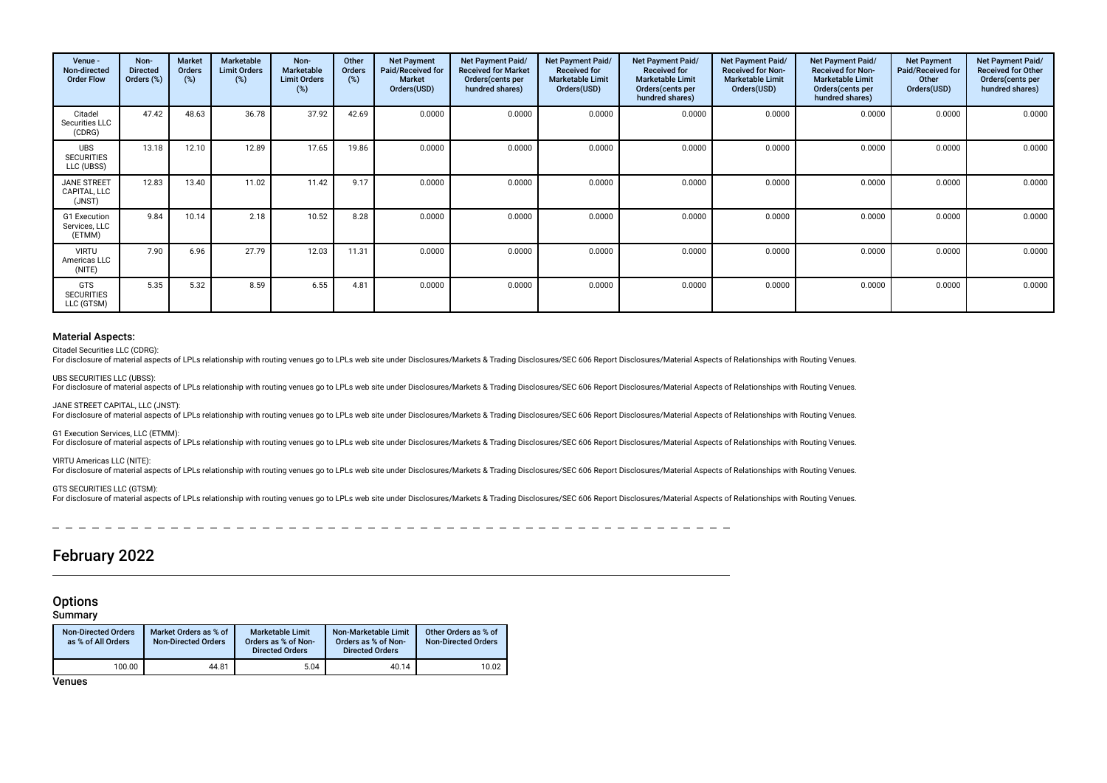| Venue -<br>Non-directed<br><b>Order Flow</b>  | Non-<br><b>Directed</b><br>Orders (%) | Market<br>Orders<br>(%) | Marketable<br><b>Limit Orders</b><br>$(\%)$ | Non-<br>Marketable<br><b>Limit Orders</b><br>(%) | Other<br>Orders<br>$(\%)$ | <b>Net Payment</b><br>Paid/Received for<br><b>Market</b><br>Orders(USD) | <b>Net Payment Paid/</b><br><b>Received for Market</b><br>Orders (cents per<br>hundred shares) | <b>Net Payment Paid/</b><br><b>Received for</b><br><b>Marketable Limit</b><br>Orders(USD) | Net Payment Paid/<br><b>Received for</b><br><b>Marketable Limit</b><br>Orders (cents per<br>hundred shares) | Net Payment Paid/<br><b>Received for Non-</b><br><b>Marketable Limit</b><br>Orders(USD) | <b>Net Payment Paid/</b><br><b>Received for Non-</b><br><b>Marketable Limit</b><br>Orders(cents per<br>hundred shares) | <b>Net Payment</b><br>Paid/Received for<br>Other<br>Orders(USD) | Net Payment Paid/<br><b>Received for Other</b><br>Orders(cents per<br>hundred shares) |
|-----------------------------------------------|---------------------------------------|-------------------------|---------------------------------------------|--------------------------------------------------|---------------------------|-------------------------------------------------------------------------|------------------------------------------------------------------------------------------------|-------------------------------------------------------------------------------------------|-------------------------------------------------------------------------------------------------------------|-----------------------------------------------------------------------------------------|------------------------------------------------------------------------------------------------------------------------|-----------------------------------------------------------------|---------------------------------------------------------------------------------------|
| Citadel<br>Securities LLC<br>(CDRG)           | 47.42                                 | 48.63                   | 36.78                                       | 37.92                                            | 42.69                     | 0.0000                                                                  | 0.0000                                                                                         | 0.0000                                                                                    | 0.0000                                                                                                      | 0.0000                                                                                  | 0.0000                                                                                                                 | 0.0000                                                          | 0.0000                                                                                |
| <b>UBS</b><br><b>SECURITIES</b><br>LLC (UBSS) | 13.18                                 | 12.10                   | 12.89                                       | 17.65                                            | 19.86                     | 0.0000                                                                  | 0.0000                                                                                         | 0.0000                                                                                    | 0.0000                                                                                                      | 0.0000                                                                                  | 0.0000                                                                                                                 | 0.0000                                                          | 0.0000                                                                                |
| JANE STREET<br>CAPITAL, LLC<br>(JNST)         | 12.83                                 | 13.40                   | 11.02                                       | 11.42                                            | 9.17                      | 0.0000                                                                  | 0.0000                                                                                         | 0.0000                                                                                    | 0.0000                                                                                                      | 0.0000                                                                                  | 0.0000                                                                                                                 | 0.0000                                                          | 0.0000                                                                                |
| G1 Execution<br>Services, LLC<br>(ETMM)       | 9.84                                  | 10.14                   | 2.18                                        | 10.52                                            | 8.28                      | 0.0000                                                                  | 0.0000                                                                                         | 0.0000                                                                                    | 0.0000                                                                                                      | 0.0000                                                                                  | 0.0000                                                                                                                 | 0.0000                                                          | 0.0000                                                                                |
| <b>VIRTU</b><br>Americas LLC<br>(NITE)        | 7.90                                  | 6.96                    | 27.79                                       | 12.03                                            | 11.31                     | 0.0000                                                                  | 0.0000                                                                                         | 0.0000                                                                                    | 0.0000                                                                                                      | 0.0000                                                                                  | 0.0000                                                                                                                 | 0.0000                                                          | 0.0000                                                                                |
| <b>GTS</b><br><b>SECURITIES</b><br>LLC (GTSM) | 5.35                                  | 5.32                    | 8.59                                        | 6.55                                             | 4.81                      | 0.0000                                                                  | 0.0000                                                                                         | 0.0000                                                                                    | 0.0000                                                                                                      | 0.0000                                                                                  | 0.0000                                                                                                                 | 0.0000                                                          | 0.0000                                                                                |

#### Material Aspects:

Citadel Securities LLC (CDRG):

For disclosure of material aspects of LPLs relationship with routing venues go to LPLs web site under Disclosures/Markets & Trading Disclosures/SEC 606 Report Disclosures/Material Aspects of Relationships with Routing Venu

UBS SECURITIES LLC (UBSS):

For disclosure of material aspects of LPLs relationship with routing venues go to LPLs web site under Disclosures/Markets & Trading Disclosures/SEC 606 Report Disclosures/Material Aspects of Relationships with Routing Venu

#### JANE STREET CAPITAL, LLC (JNST):

For disclosure of material aspects of LPLs relationship with routing venues go to LPLs web site under Disclosures/Markets & Trading Disclosures/SEC 606 Report Disclosures/Material Aspects of Relationships with Routing Venu

G1 Execution Services, LLC (ETMM):

For disclosure of material aspects of LPLs relationship with routing venues go to LPLs web site under Disclosures/Markets & Trading Disclosures/SEC 606 Report Disclosures/Material Aspects of Relationships with Routing Venu

#### VIRTU Americas LLC (NITE):

For disclosure of material aspects of LPLs relationship with routing venues go to LPLs web site under Disclosures/Markets & Trading Disclosures/SEC 606 Report Disclosures/Material Aspects of Relationships with Routing Venu

#### GTS SECURITIES LLC (GTSM):

For disclosure of material aspects of LPLs relationship with routing venues go to LPLs web site under Disclosures/Markets & Trading Disclosures/SEC 606 Report Disclosures/Material Aspects of Relationships with Routing Venu

# February 2022

## **Options**

**Summary** 

| <b>Non-Directed Orders</b><br>as % of All Orders | Market Orders as % of<br><b>Non-Directed Orders</b> | <b>Marketable Limit</b><br>Orders as % of Non-<br><b>Directed Orders</b> | Non-Marketable Limit<br>Orders as % of Non-<br><b>Directed Orders</b> | Other Orders as % of<br><b>Non-Directed Orders</b> |
|--------------------------------------------------|-----------------------------------------------------|--------------------------------------------------------------------------|-----------------------------------------------------------------------|----------------------------------------------------|
| 100.00                                           | 44.81                                               | 5.04                                                                     | 40.14                                                                 | 10.02                                              |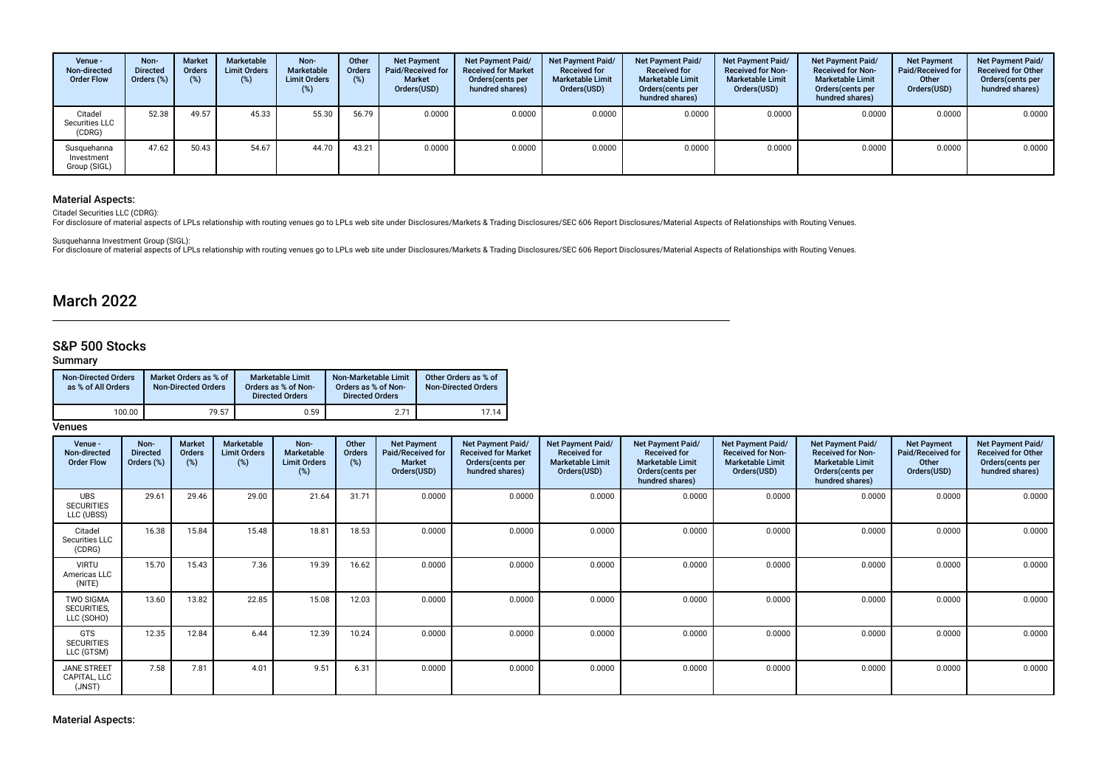| Venue -<br>Non-directed<br><b>Order Flow</b> | Non-<br><b>Directed</b><br>Orders (%) | <b>Market</b><br>Orders<br>(%) | Marketable<br><b>Limit Orders</b><br>(%) | Non-<br>Marketable<br><b>Limit Orders</b><br>(%) | Other<br>Orders<br>$(\%)$ | <b>Net Payment</b><br><b>Paid/Received for</b><br>Market<br>Orders(USD) | Net Payment Paid/<br><b>Received for Market</b><br>Orders (cents per<br>hundred shares) | Net Payment Paid/<br><b>Received for</b><br><b>Marketable Limit</b><br>Orders(USD) | Net Payment Paid/<br><b>Received for</b><br><b>Marketable Limit</b><br>Orders(cents per<br>hundred shares) | <b>Net Payment Paid/</b><br><b>Received for Non-</b><br><b>Marketable Limit</b><br>Orders(USD) | Net Payment Paid/<br><b>Received for Non-</b><br><b>Marketable Limit</b><br>Orders (cents per<br>hundred shares) | <b>Net Payment</b><br>Paid/Received for<br>Other<br>Orders(USD) | Net Payment Paid/<br><b>Received for Other</b><br>Orders(cents per<br>hundred shares) |
|----------------------------------------------|---------------------------------------|--------------------------------|------------------------------------------|--------------------------------------------------|---------------------------|-------------------------------------------------------------------------|-----------------------------------------------------------------------------------------|------------------------------------------------------------------------------------|------------------------------------------------------------------------------------------------------------|------------------------------------------------------------------------------------------------|------------------------------------------------------------------------------------------------------------------|-----------------------------------------------------------------|---------------------------------------------------------------------------------------|
| Citadel<br>Securities LLC<br>(CDRG)          | 52.38                                 | 49.57                          | 45.33                                    | 55.30                                            | 56.79                     | 0.0000                                                                  | 0.0000                                                                                  | 0.0000                                                                             | 0.0000                                                                                                     | 0.0000                                                                                         | 0.0000                                                                                                           | 0.0000                                                          | 0.0000                                                                                |
| Susquehanna<br>Investment<br>Group (SIGL)    | 47.62                                 | 50.43                          | 54.67                                    | 44.70                                            | 43.21                     | 0.0000                                                                  | 0.0000                                                                                  | 0.0000                                                                             | 0.0000                                                                                                     | 0.0000                                                                                         | 0.0000                                                                                                           | 0.0000                                                          | 0.0000                                                                                |

## Material Aspects:

Citadel Securities LLC (CDRG):

For disclosure of material aspects of LPLs relationship with routing venues go to LPLs web site under Disclosures/Markets & Trading Disclosures/SEC 606 Report Disclosures/Material Aspects of Relationships with Routing Venu

Susquehanna Investment Group (SIGL):<br>For disclosure of material aspects of LPLs relationship with routing venues go to LPLs web site under Disclosures/Markets & Trading Disclosures/SEC 606 Report Disclosures/Material Aspec

# March 2022

## S&P 500 Stocks

## Summary

| <b>Non-Directed Orders</b><br>as % of All Orders | Market Orders as % of<br><b>Non-Directed Orders</b> | <b>Marketable Limit</b><br>Orders as % of Non-<br><b>Directed Orders</b> | Non-Marketable Limit<br>Orders as % of Non-<br><b>Directed Orders</b> | Other Orders as % of<br><b>Non-Directed Orders</b> |
|--------------------------------------------------|-----------------------------------------------------|--------------------------------------------------------------------------|-----------------------------------------------------------------------|----------------------------------------------------|
| 100.00                                           | 79.57                                               | 0.59                                                                     | 2.71                                                                  | 17.14                                              |

| Venue -<br>Non-directed<br><b>Order Flow</b>  | Non-<br><b>Directed</b><br>Orders (%) | Market<br>Orders<br>(%) | Marketable<br><b>Limit Orders</b><br>(%) | Non-<br><b>Marketable</b><br><b>Limit Orders</b><br>(%) | Other<br><b>Orders</b><br>(%) | <b>Net Payment</b><br>Paid/Received for<br><b>Market</b><br>Orders(USD) | <b>Net Payment Paid/</b><br><b>Received for Market</b><br>Orders(cents per<br>hundred shares) | Net Payment Paid/<br><b>Received for</b><br><b>Marketable Limit</b><br>Orders(USD) | <b>Net Payment Paid/</b><br><b>Received for</b><br><b>Marketable Limit</b><br>Orders (cents per<br>hundred shares) | Net Payment Paid/<br><b>Received for Non-</b><br><b>Marketable Limit</b><br>Orders(USD) | Net Payment Paid/<br><b>Received for Non-</b><br><b>Marketable Limit</b><br>Orders(cents per<br>hundred shares) | <b>Net Payment</b><br>Paid/Received for<br>Other<br>Orders(USD) | Net Payment Paid/<br><b>Received for Other</b><br>Orders(cents per<br>hundred shares) |
|-----------------------------------------------|---------------------------------------|-------------------------|------------------------------------------|---------------------------------------------------------|-------------------------------|-------------------------------------------------------------------------|-----------------------------------------------------------------------------------------------|------------------------------------------------------------------------------------|--------------------------------------------------------------------------------------------------------------------|-----------------------------------------------------------------------------------------|-----------------------------------------------------------------------------------------------------------------|-----------------------------------------------------------------|---------------------------------------------------------------------------------------|
| <b>UBS</b><br><b>SECURITIES</b><br>LLC (UBSS) | 29.61                                 | 29.46                   | 29.00                                    | 21.64                                                   | 31.71                         | 0.0000                                                                  | 0.0000                                                                                        | 0.0000                                                                             | 0.0000                                                                                                             | 0.0000                                                                                  | 0.0000                                                                                                          | 0.0000                                                          | 0.0000                                                                                |
| Citadel<br>Securities LLC<br>(CDRG)           | 16.38                                 | 15.84                   | 15.48                                    | 18.81                                                   | 18.53                         | 0.0000                                                                  | 0.0000                                                                                        | 0.0000                                                                             | 0.0000                                                                                                             | 0.0000                                                                                  | 0.0000                                                                                                          | 0.0000                                                          | 0.0000                                                                                |
| <b>VIRTU</b><br>Americas LLC<br>(NITE)        | 15.70                                 | 15.43                   | 7.36                                     | 19.39                                                   | 16.62                         | 0.0000                                                                  | 0.0000                                                                                        | 0.0000                                                                             | 0.0000                                                                                                             | 0.0000                                                                                  | 0.0000                                                                                                          | 0.0000                                                          | 0.0000                                                                                |
| TWO SIGMA<br>SECURITIES,<br>LLC (SOHO)        | 13.60                                 | 13.82                   | 22.85                                    | 15.08                                                   | 12.03                         | 0.0000                                                                  | 0.0000                                                                                        | 0.0000                                                                             | 0.0000                                                                                                             | 0.0000                                                                                  | 0.0000                                                                                                          | 0.0000                                                          | 0.0000                                                                                |
| <b>GTS</b><br><b>SECURITIES</b><br>LLC (GTSM) | 12.35                                 | 12.84                   | 6.44                                     | 12.39                                                   | 10.24                         | 0.0000                                                                  | 0.0000                                                                                        | 0.0000                                                                             | 0.0000                                                                                                             | 0.0000                                                                                  | 0.0000                                                                                                          | 0.0000                                                          | 0.0000                                                                                |
| JANE STREET<br>CAPITAL, LLC<br>(JNST)         | 7.58                                  | 7.81                    | 4.01                                     | 9.51                                                    | 6.31                          | 0.0000                                                                  | 0.0000                                                                                        | 0.0000                                                                             | 0.0000                                                                                                             | 0.0000                                                                                  | 0.0000                                                                                                          | 0.0000                                                          | 0.0000                                                                                |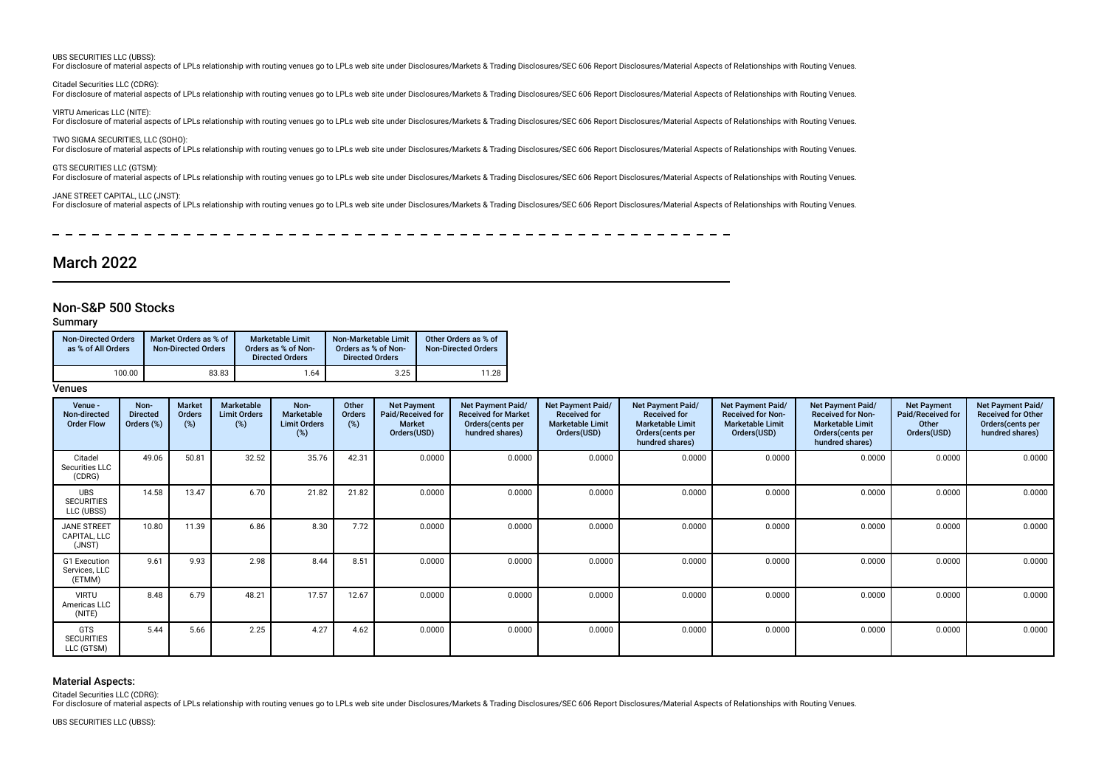#### UBS SECURITIES LLC (UBSS):

For disclosure of material aspects of LPLs relationship with routing venues go to LPLs web site under Disclosures/Markets & Trading Disclosures/SEC 606 Report Disclosures/Material Aspects of Relationships with Routing Venu

Citadel Securities LLC (CDRG):

For disclosure of material aspects of LPLs relationship with routing venues go to LPLs web site under Disclosures/Markets & Trading Disclosures/SEC 606 Report Disclosures/Material Aspects of Relationships with Routing Venu

VIRTU Americas LLC (NITE): For disclosure of material aspects of LPLs relationship with routing venues go to LPLs web site under Disclosures/Markets & Trading Disclosures/SEC 606 Report Disclosures/Material Aspects of Relationships with Routing Venu

TWO SIGMA SECURITIES, LLC (SOHO): For disclosure of material aspects of LPLs relationship with routing venues go to LPLs web site under Disclosures/Markets & Trading Disclosures/SEC 606 Report Disclosures/Material Aspects of Relationships with Routing Venu

GTS SECURITIES LLC (GTSM):

For disclosure of material aspects of LPLs relationship with routing venues go to LPLs web site under Disclosures/Markets & Trading Disclosures/SEC 606 Report Disclosures/Material Aspects of Relationships with Routing Venu

#### JANE STREET CAPITAL, LLC (JNST):

For disclosure of material aspects of LPLs relationship with routing venues go to LPLs web site under Disclosures/Markets & Trading Disclosures/SEC 606 Report Disclosures/Material Aspects of Relationships with Routing Venu

# March 2022

## Non-S&P 500 Stocks

#### Summary

| <b>Non-Directed Orders</b><br>as % of All Orders | Market Orders as % of<br><b>Non-Directed Orders</b> | <b>Marketable Limit</b><br>Orders as % of Non-<br><b>Directed Orders</b> | Non-Marketable Limit<br>Orders as % of Non-<br><b>Directed Orders</b> | Other Orders as % of<br><b>Non-Directed Orders</b> |
|--------------------------------------------------|-----------------------------------------------------|--------------------------------------------------------------------------|-----------------------------------------------------------------------|----------------------------------------------------|
| 100.00                                           | 83.83                                               | 1.64                                                                     | 3.25                                                                  | 11.28                                              |

#### Venues

| Venue -<br>Non-directed<br><b>Order Flow</b>  | Non-<br><b>Directed</b><br>Orders (%) | <b>Market</b><br><b>Orders</b><br>(%) | Marketable<br><b>Limit Orders</b><br>$(\%)$ | Non-<br><b>Marketable</b><br><b>Limit Orders</b><br>(%) | Other<br>Orders<br>(%) | <b>Net Payment</b><br>Paid/Received for<br><b>Market</b><br>Orders(USD) | Net Payment Paid/<br><b>Received for Market</b><br>Orders (cents per<br>hundred shares) | Net Payment Paid/<br><b>Received for</b><br><b>Marketable Limit</b><br>Orders(USD) | Net Payment Paid/<br><b>Received for</b><br><b>Marketable Limit</b><br>Orders(cents per<br>hundred shares) | Net Payment Paid/<br><b>Received for Non-</b><br><b>Marketable Limit</b><br>Orders(USD) | Net Payment Paid/<br><b>Received for Non-</b><br><b>Marketable Limit</b><br>Orders (cents per<br>hundred shares) | <b>Net Payment</b><br>Paid/Received for<br>Other<br>Orders(USD) | Net Payment Paid/<br><b>Received for Other</b><br>Orders (cents per<br>hundred shares) |
|-----------------------------------------------|---------------------------------------|---------------------------------------|---------------------------------------------|---------------------------------------------------------|------------------------|-------------------------------------------------------------------------|-----------------------------------------------------------------------------------------|------------------------------------------------------------------------------------|------------------------------------------------------------------------------------------------------------|-----------------------------------------------------------------------------------------|------------------------------------------------------------------------------------------------------------------|-----------------------------------------------------------------|----------------------------------------------------------------------------------------|
| Citadel<br>Securities LLC<br>(CDRG)           | 49.06                                 | 50.81                                 | 32.52                                       | 35.76                                                   | 42.31                  | 0.0000                                                                  | 0.0000                                                                                  | 0.0000                                                                             | 0.0000                                                                                                     | 0.0000                                                                                  | 0.0000                                                                                                           | 0.0000                                                          | 0.0000                                                                                 |
| <b>UBS</b><br><b>SECURITIES</b><br>LLC (UBSS) | 14.58                                 | 13.47                                 | 6.70                                        | 21.82                                                   | 21.82                  | 0.0000                                                                  | 0.0000                                                                                  | 0.0000                                                                             | 0.0000                                                                                                     | 0.0000                                                                                  | 0.0000                                                                                                           | 0.0000                                                          | 0.0000                                                                                 |
| <b>JANE STREET</b><br>CAPITAL, LLC<br>(JNST)  | 10.80                                 | 11.39                                 | 6.86                                        | 8.30                                                    | 7.72                   | 0.0000                                                                  | 0.0000                                                                                  | 0.0000                                                                             | 0.0000                                                                                                     | 0.0000                                                                                  | 0.0000                                                                                                           | 0.0000                                                          | 0.0000                                                                                 |
| G1 Execution<br>Services, LLC<br>(ETMM)       | 9.61                                  | 9.93                                  | 2.98                                        | 8.44                                                    | 8.51                   | 0.0000                                                                  | 0.0000                                                                                  | 0.0000                                                                             | 0.0000                                                                                                     | 0.0000                                                                                  | 0.0000                                                                                                           | 0.0000                                                          | 0.0000                                                                                 |
| <b>VIRTU</b><br>Americas LLC<br>(NITE)        | 8.48                                  | 6.79                                  | 48.21                                       | 17.57                                                   | 12.67                  | 0.0000                                                                  | 0.0000                                                                                  | 0.0000                                                                             | 0.0000                                                                                                     | 0.0000                                                                                  | 0.0000                                                                                                           | 0.0000                                                          | 0.0000                                                                                 |
| GTS<br><b>SECURITIES</b><br>LLC (GTSM)        | 5.44                                  | 5.66                                  | 2.25                                        | 4.27                                                    | 4.62                   | 0.0000                                                                  | 0.0000                                                                                  | 0.0000                                                                             | 0.0000                                                                                                     | 0.0000                                                                                  | 0.0000                                                                                                           | 0.0000                                                          | 0.0000                                                                                 |

### Material Aspects:

Citadel Securities LLC (CDRG):

For disclosure of material aspects of LPLs relationship with routing venues go to LPLs web site under Disclosures/Markets & Trading Disclosures/SEC 606 Report Disclosures/Material Aspects of Relationships with Routing Venu